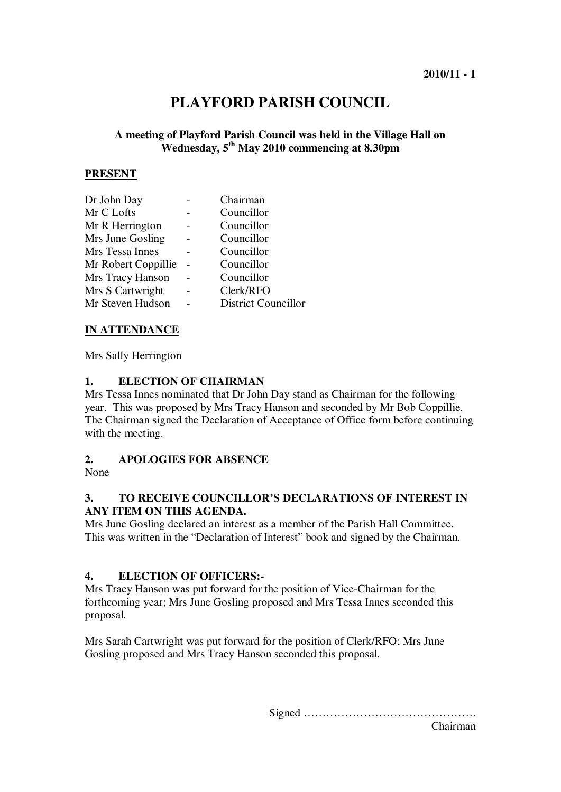# **PLAYFORD PARISH COUNCIL**

### **A meeting of Playford Parish Council was held in the Village Hall on Wednesday, 5th May 2010 commencing at 8.30pm**

#### **PRESENT**

| Chairman                   |
|----------------------------|
| Councillor                 |
| Councillor                 |
| Councillor                 |
| Councillor                 |
| Councillor                 |
| Councillor                 |
| Clerk/RFO                  |
| <b>District Councillor</b> |
|                            |

### **IN ATTENDANCE**

Mrs Sally Herrington

### **1. ELECTION OF CHAIRMAN**

Mrs Tessa Innes nominated that Dr John Day stand as Chairman for the following year. This was proposed by Mrs Tracy Hanson and seconded by Mr Bob Coppillie. The Chairman signed the Declaration of Acceptance of Office form before continuing with the meeting.

### **2. APOLOGIES FOR ABSENCE**

None

### **3. TO RECEIVE COUNCILLOR'S DECLARATIONS OF INTEREST IN ANY ITEM ON THIS AGENDA.**

Mrs June Gosling declared an interest as a member of the Parish Hall Committee. This was written in the "Declaration of Interest" book and signed by the Chairman.

### **4. ELECTION OF OFFICERS:-**

Mrs Tracy Hanson was put forward for the position of Vice-Chairman for the forthcoming year; Mrs June Gosling proposed and Mrs Tessa Innes seconded this proposal.

Mrs Sarah Cartwright was put forward for the position of Clerk/RFO; Mrs June Gosling proposed and Mrs Tracy Hanson seconded this proposal.

Signed ……………………………………….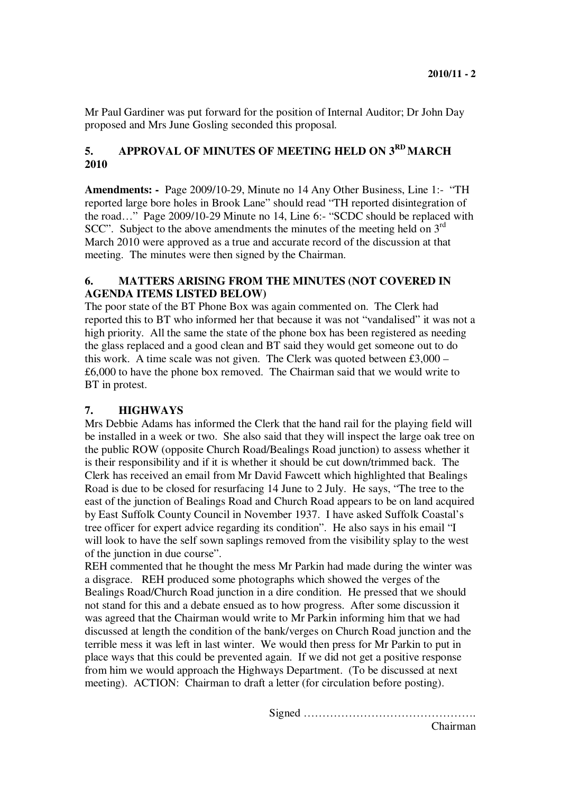Mr Paul Gardiner was put forward for the position of Internal Auditor; Dr John Day proposed and Mrs June Gosling seconded this proposal.

# **5. APPROVAL OF MINUTES OF MEETING HELD ON 3RD MARCH 2010**

**Amendments: -** Page 2009/10-29, Minute no 14 Any Other Business, Line 1:- "TH reported large bore holes in Brook Lane" should read "TH reported disintegration of the road…" Page 2009/10-29 Minute no 14, Line 6:- "SCDC should be replaced with SCC". Subject to the above amendments the minutes of the meeting held on  $3<sup>rd</sup>$ March 2010 were approved as a true and accurate record of the discussion at that meeting. The minutes were then signed by the Chairman.

### **6. MATTERS ARISING FROM THE MINUTES (NOT COVERED IN AGENDA ITEMS LISTED BELOW)**

The poor state of the BT Phone Box was again commented on. The Clerk had reported this to BT who informed her that because it was not "vandalised" it was not a high priority. All the same the state of the phone box has been registered as needing the glass replaced and a good clean and BT said they would get someone out to do this work. A time scale was not given. The Clerk was quoted between  $\text{\pounds}3,000 -$ £6,000 to have the phone box removed. The Chairman said that we would write to BT in protest.

## **7. HIGHWAYS**

Mrs Debbie Adams has informed the Clerk that the hand rail for the playing field will be installed in a week or two. She also said that they will inspect the large oak tree on the public ROW (opposite Church Road/Bealings Road junction) to assess whether it is their responsibility and if it is whether it should be cut down/trimmed back. The Clerk has received an email from Mr David Fawcett which highlighted that Bealings Road is due to be closed for resurfacing 14 June to 2 July. He says, "The tree to the east of the junction of Bealings Road and Church Road appears to be on land acquired by East Suffolk County Council in November 1937. I have asked Suffolk Coastal's tree officer for expert advice regarding its condition". He also says in his email "I will look to have the self sown saplings removed from the visibility splay to the west of the junction in due course".

REH commented that he thought the mess Mr Parkin had made during the winter was a disgrace. REH produced some photographs which showed the verges of the Bealings Road/Church Road junction in a dire condition. He pressed that we should not stand for this and a debate ensued as to how progress. After some discussion it was agreed that the Chairman would write to Mr Parkin informing him that we had discussed at length the condition of the bank/verges on Church Road junction and the terrible mess it was left in last winter. We would then press for Mr Parkin to put in place ways that this could be prevented again. If we did not get a positive response from him we would approach the Highways Department. (To be discussed at next meeting). ACTION: Chairman to draft a letter (for circulation before posting).

Signed ……………………………………….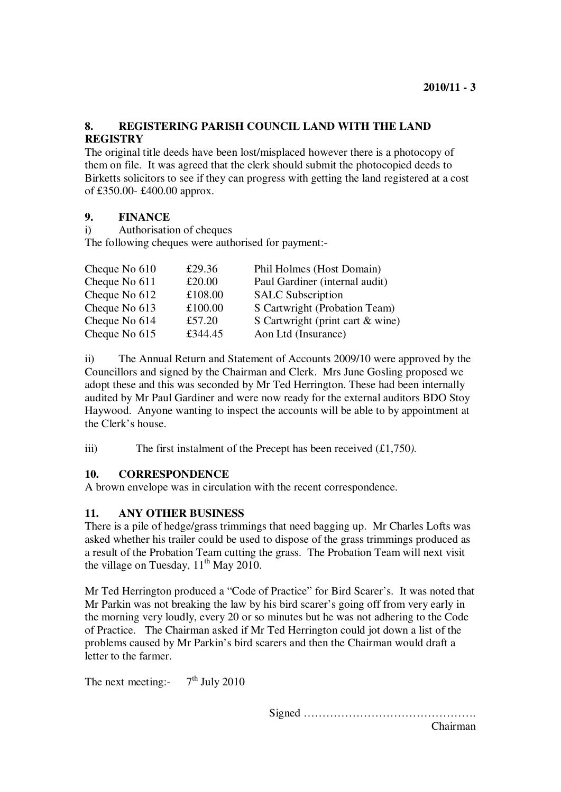### **8. REGISTERING PARISH COUNCIL LAND WITH THE LAND REGISTRY**

The original title deeds have been lost/misplaced however there is a photocopy of them on file. It was agreed that the clerk should submit the photocopied deeds to Birketts solicitors to see if they can progress with getting the land registered at a cost of £350.00- £400.00 approx.

### **9. FINANCE**

i) Authorisation of cheques

The following cheques were authorised for payment:-

| Cheque No 610 | £29.36  | Phil Holmes (Host Domain)        |
|---------------|---------|----------------------------------|
| Cheque No 611 | £20.00  | Paul Gardiner (internal audit)   |
| Cheque No 612 | £108.00 | <b>SALC Subscription</b>         |
| Cheque No 613 | £100.00 | S Cartwright (Probation Team)    |
| Cheque No 614 | £57.20  | S Cartwright (print cart & wine) |
| Cheque No 615 | £344.45 | Aon Ltd (Insurance)              |

ii) The Annual Return and Statement of Accounts 2009/10 were approved by the Councillors and signed by the Chairman and Clerk. Mrs June Gosling proposed we adopt these and this was seconded by Mr Ted Herrington. These had been internally audited by Mr Paul Gardiner and were now ready for the external auditors BDO Stoy Haywood. Anyone wanting to inspect the accounts will be able to by appointment at the Clerk's house.

iii) The first instalment of the Precept has been received (£1,750*).* 

### **10. CORRESPONDENCE**

A brown envelope was in circulation with the recent correspondence.

### **11. ANY OTHER BUSINESS**

There is a pile of hedge/grass trimmings that need bagging up. Mr Charles Lofts was asked whether his trailer could be used to dispose of the grass trimmings produced as a result of the Probation Team cutting the grass. The Probation Team will next visit the village on Tuesday,  $11<sup>th</sup>$  May 2010.

Mr Ted Herrington produced a "Code of Practice" for Bird Scarer's. It was noted that Mr Parkin was not breaking the law by his bird scarer's going off from very early in the morning very loudly, every 20 or so minutes but he was not adhering to the Code of Practice. The Chairman asked if Mr Ted Herrington could jot down a list of the problems caused by Mr Parkin's bird scarers and then the Chairman would draft a letter to the farmer.

The next meeting:  $7<sup>th</sup>$  July 2010

Signed ……………………………………….